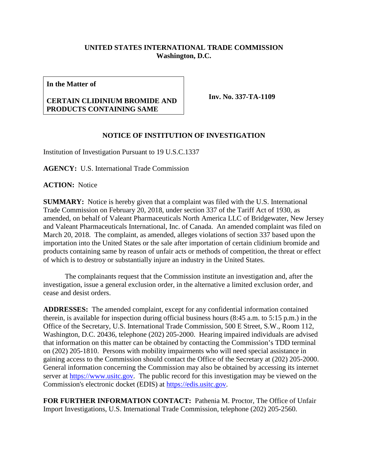## **UNITED STATES INTERNATIONAL TRADE COMMISSION Washington, D.C.**

**In the Matter of**

## **CERTAIN CLIDINIUM BROMIDE AND PRODUCTS CONTAINING SAME**

**Inv. No. 337-TA-1109**

## **NOTICE OF INSTITUTION OF INVESTIGATION**

Institution of Investigation Pursuant to 19 U.S.C.1337

**AGENCY:** U.S. International Trade Commission

**ACTION:** Notice

**SUMMARY:** Notice is hereby given that a complaint was filed with the U.S. International Trade Commission on February 20, 2018, under section 337 of the Tariff Act of 1930, as amended, on behalf of Valeant Pharmaceuticals North America LLC of Bridgewater, New Jersey and Valeant Pharmaceuticals International, Inc. of Canada. An amended complaint was filed on March 20, 2018. The complaint, as amended, alleges violations of section 337 based upon the importation into the United States or the sale after importation of certain clidinium bromide and products containing same by reason of unfair acts or methods of competition, the threat or effect of which is to destroy or substantially injure an industry in the United States.

The complainants request that the Commission institute an investigation and, after the investigation, issue a general exclusion order, in the alternative a limited exclusion order, and cease and desist orders.

**ADDRESSES:** The amended complaint, except for any confidential information contained therein, is available for inspection during official business hours (8:45 a.m. to 5:15 p.m.) in the Office of the Secretary, U.S. International Trade Commission, 500 E Street, S.W., Room 112, Washington, D.C. 20436, telephone (202) 205-2000. Hearing impaired individuals are advised that information on this matter can be obtained by contacting the Commission's TDD terminal on (202) 205-1810. Persons with mobility impairments who will need special assistance in gaining access to the Commission should contact the Office of the Secretary at (202) 205-2000. General information concerning the Commission may also be obtained by accessing its internet server at [https://www.usitc.gov.](https://www.usitc.gov/) The public record for this investigation may be viewed on the Commission's electronic docket (EDIS) at [https://edis.usitc.gov.](https://edis.usitc.gov/)

**FOR FURTHER INFORMATION CONTACT:** Pathenia M. Proctor, The Office of Unfair Import Investigations, U.S. International Trade Commission, telephone (202) 205-2560.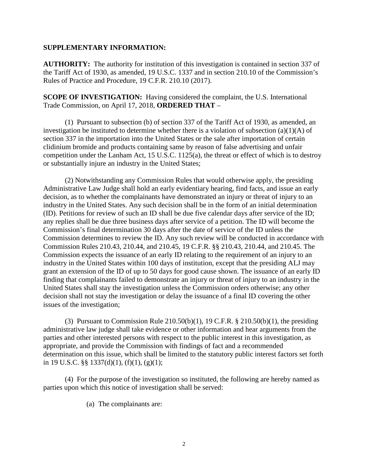## **SUPPLEMENTARY INFORMATION:**

**AUTHORITY:** The authority for institution of this investigation is contained in section 337 of the Tariff Act of 1930, as amended, 19 U.S.C. 1337 and in section 210.10 of the Commission's Rules of Practice and Procedure, 19 C.F.R. 210.10 (2017).

**SCOPE OF INVESTIGATION:** Having considered the complaint, the U.S. International Trade Commission, on April 17, 2018, **ORDERED THAT** –

(1) Pursuant to subsection (b) of section 337 of the Tariff Act of 1930, as amended, an investigation be instituted to determine whether there is a violation of subsection (a)(1)(A) of section 337 in the importation into the United States or the sale after importation of certain clidinium bromide and products containing same by reason of false advertising and unfair competition under the Lanham Act, 15 U.S.C. 1125(a), the threat or effect of which is to destroy or substantially injure an industry in the United States;

(2) Notwithstanding any Commission Rules that would otherwise apply, the presiding Administrative Law Judge shall hold an early evidentiary hearing, find facts, and issue an early decision, as to whether the complainants have demonstrated an injury or threat of injury to an industry in the United States. Any such decision shall be in the form of an initial determination (ID). Petitions for review of such an ID shall be due five calendar days after service of the ID; any replies shall be due three business days after service of a petition. The ID will become the Commission's final determination 30 days after the date of service of the ID unless the Commission determines to review the ID. Any such review will be conducted in accordance with Commission Rules 210.43, 210.44, and 210.45, 19 C.F.R. §§ 210.43, 210.44, and 210.45. The Commission expects the issuance of an early ID relating to the requirement of an injury to an industry in the United States within 100 days of institution, except that the presiding ALJ may grant an extension of the ID of up to 50 days for good cause shown. The issuance of an early ID finding that complainants failed to demonstrate an injury or threat of injury to an industry in the United States shall stay the investigation unless the Commission orders otherwise; any other decision shall not stay the investigation or delay the issuance of a final ID covering the other issues of the investigation;

(3) Pursuant to Commission Rule  $210.50(b)(1)$ , 19 C.F.R. §  $210.50(b)(1)$ , the presiding administrative law judge shall take evidence or other information and hear arguments from the parties and other interested persons with respect to the public interest in this investigation, as appropriate, and provide the Commission with findings of fact and a recommended determination on this issue, which shall be limited to the statutory public interest factors set forth in 19 U.S.C. §§ 1337(d)(1), (f)(1), (g)(1);

(4) For the purpose of the investigation so instituted, the following are hereby named as parties upon which this notice of investigation shall be served:

(a) The complainants are: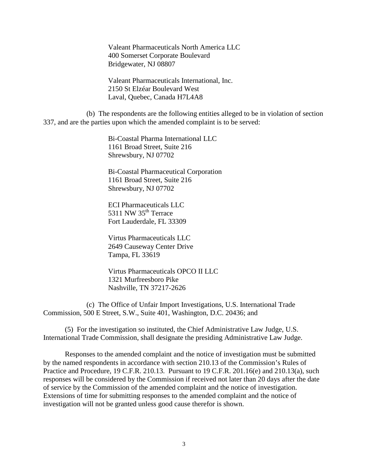Valeant Pharmaceuticals North America LLC 400 Somerset Corporate Boulevard Bridgewater, NJ 08807

Valeant Pharmaceuticals International, Inc. 2150 St Elzéar Boulevard West Laval, Quebec, Canada H7L4A8

(b) The respondents are the following entities alleged to be in violation of section 337, and are the parties upon which the amended complaint is to be served:

> Bi-Coastal Pharma International LLC 1161 Broad Street, Suite 216 Shrewsbury, NJ 07702

Bi-Coastal Pharmaceutical Corporation 1161 Broad Street, Suite 216 Shrewsbury, NJ 07702

ECI Pharmaceuticals LLC 5311 NW  $35<sup>th</sup>$  Terrace Fort Lauderdale, FL 33309

Virtus Pharmaceuticals LLC 2649 Causeway Center Drive Tampa, FL 33619

Virtus Pharmaceuticals OPCO II LLC 1321 Murfreesboro Pike Nashville, TN 37217-2626

(c) The Office of Unfair Import Investigations, U.S. International Trade Commission, 500 E Street, S.W., Suite 401, Washington, D.C. 20436; and

(5) For the investigation so instituted, the Chief Administrative Law Judge, U.S. International Trade Commission, shall designate the presiding Administrative Law Judge.

Responses to the amended complaint and the notice of investigation must be submitted by the named respondents in accordance with section 210.13 of the Commission's Rules of Practice and Procedure, 19 C.F.R. 210.13. Pursuant to 19 C.F.R. 201.16(e) and 210.13(a), such responses will be considered by the Commission if received not later than 20 days after the date of service by the Commission of the amended complaint and the notice of investigation. Extensions of time for submitting responses to the amended complaint and the notice of investigation will not be granted unless good cause therefor is shown.